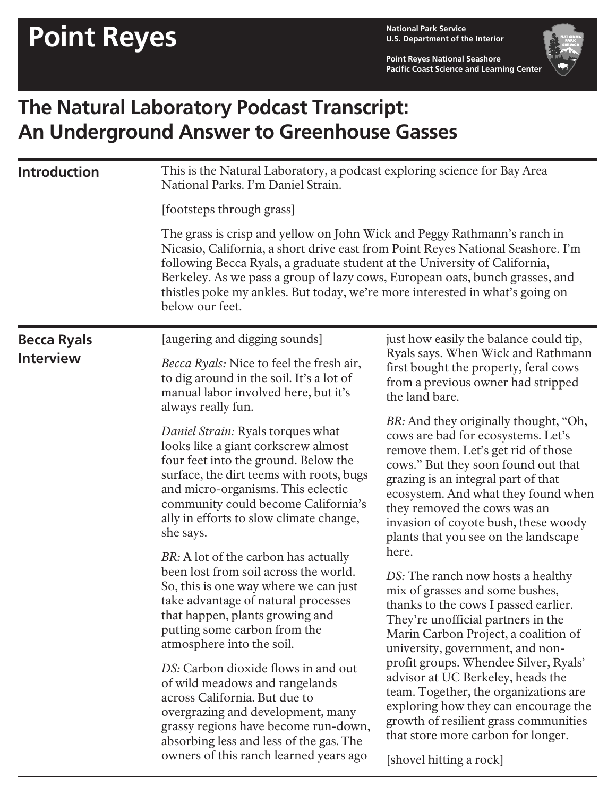**U.S. Department of the Interior**

**Point Reyes National Seashore Pacific Coast Science and Learning Center**



## **The Natural Laboratory Podcast Transcript: An Underground Answer to Greenhouse Gasses**

| <b>Introduction</b>                    | This is the Natural Laboratory, a podcast exploring science for Bay Area<br>National Parks. I'm Daniel Strain.                                                                                                                                                                                                                                                                                                               |                                                                                                                                                                                                                                                                                                                                                                                                                                                                                                                                                                                                                                                                                                                                                                                                                                                                                                                                                                                                                                                              |  |
|----------------------------------------|------------------------------------------------------------------------------------------------------------------------------------------------------------------------------------------------------------------------------------------------------------------------------------------------------------------------------------------------------------------------------------------------------------------------------|--------------------------------------------------------------------------------------------------------------------------------------------------------------------------------------------------------------------------------------------------------------------------------------------------------------------------------------------------------------------------------------------------------------------------------------------------------------------------------------------------------------------------------------------------------------------------------------------------------------------------------------------------------------------------------------------------------------------------------------------------------------------------------------------------------------------------------------------------------------------------------------------------------------------------------------------------------------------------------------------------------------------------------------------------------------|--|
|                                        | [footsteps through grass]                                                                                                                                                                                                                                                                                                                                                                                                    |                                                                                                                                                                                                                                                                                                                                                                                                                                                                                                                                                                                                                                                                                                                                                                                                                                                                                                                                                                                                                                                              |  |
|                                        | The grass is crisp and yellow on John Wick and Peggy Rathmann's ranch in<br>Nicasio, California, a short drive east from Point Reyes National Seashore. I'm<br>following Becca Ryals, a graduate student at the University of California,<br>Berkeley. As we pass a group of lazy cows, European oats, bunch grasses, and<br>thistles poke my ankles. But today, we're more interested in what's going on<br>below our feet. |                                                                                                                                                                                                                                                                                                                                                                                                                                                                                                                                                                                                                                                                                                                                                                                                                                                                                                                                                                                                                                                              |  |
| <b>Becca Ryals</b><br><b>Interview</b> | [augering and digging sounds]                                                                                                                                                                                                                                                                                                                                                                                                | just how easily the balance could tip,<br>Ryals says. When Wick and Rathmann<br>first bought the property, feral cows<br>from a previous owner had stripped<br>the land bare.<br>BR: And they originally thought, "Oh,<br>cows are bad for ecosystems. Let's<br>remove them. Let's get rid of those<br>cows." But they soon found out that<br>grazing is an integral part of that<br>ecosystem. And what they found when<br>they removed the cows was an<br>invasion of coyote bush, these woody<br>plants that you see on the landscape<br>here.<br>DS: The ranch now hosts a healthy<br>mix of grasses and some bushes,<br>thanks to the cows I passed earlier.<br>They're unofficial partners in the<br>Marin Carbon Project, a coalition of<br>university, government, and non-<br>profit groups. Whendee Silver, Ryals'<br>advisor at UC Berkeley, heads the<br>team. Together, the organizations are<br>exploring how they can encourage the<br>growth of resilient grass communities<br>that store more carbon for longer.<br>[shovel hitting a rock] |  |
|                                        | <i>Becca Ryals:</i> Nice to feel the fresh air,<br>to dig around in the soil. It's a lot of<br>manual labor involved here, but it's<br>always really fun.                                                                                                                                                                                                                                                                    |                                                                                                                                                                                                                                                                                                                                                                                                                                                                                                                                                                                                                                                                                                                                                                                                                                                                                                                                                                                                                                                              |  |
|                                        | Daniel Strain: Ryals torques what<br>looks like a giant corkscrew almost<br>four feet into the ground. Below the<br>surface, the dirt teems with roots, bugs<br>and micro-organisms. This eclectic<br>community could become California's<br>ally in efforts to slow climate change,<br>she says.                                                                                                                            |                                                                                                                                                                                                                                                                                                                                                                                                                                                                                                                                                                                                                                                                                                                                                                                                                                                                                                                                                                                                                                                              |  |
|                                        | BR: A lot of the carbon has actually<br>been lost from soil across the world.<br>So, this is one way where we can just<br>take advantage of natural processes<br>that happen, plants growing and<br>putting some carbon from the<br>atmosphere into the soil.                                                                                                                                                                |                                                                                                                                                                                                                                                                                                                                                                                                                                                                                                                                                                                                                                                                                                                                                                                                                                                                                                                                                                                                                                                              |  |
|                                        | DS: Carbon dioxide flows in and out<br>of wild meadows and rangelands<br>across California. But due to<br>overgrazing and development, many<br>grassy regions have become run-down,<br>absorbing less and less of the gas. The<br>owners of this ranch learned years ago                                                                                                                                                     |                                                                                                                                                                                                                                                                                                                                                                                                                                                                                                                                                                                                                                                                                                                                                                                                                                                                                                                                                                                                                                                              |  |